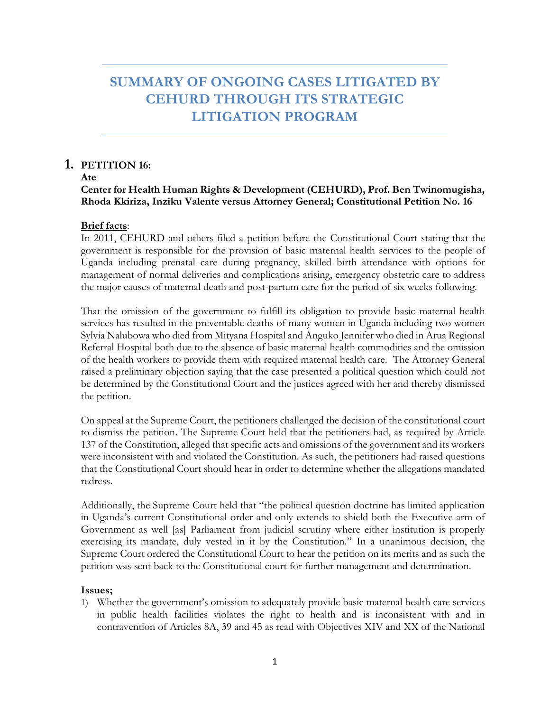# **SUMMARY OF ONGOING CASES LITIGATED BY CEHURD THROUGH ITS STRATEGIC LITIGATION PROGRAM**

# **1. PETITION 16:**

**Ate** 

# **Center for Health Human Rights & Development (CEHURD), Prof. Ben Twinomugisha, Rhoda Kkiriza, Inziku Valente versus Attorney General; Constitutional Petition No. 16**

# **Brief facts**:

In 2011, CEHURD and others filed a petition before the Constitutional Court stating that the government is responsible for the provision of basic maternal health services to the people of Uganda including prenatal care during pregnancy, skilled birth attendance with options for management of normal deliveries and complications arising, emergency obstetric care to address the major causes of maternal death and post-partum care for the period of six weeks following.

That the omission of the government to fulfill its obligation to provide basic maternal health services has resulted in the preventable deaths of many women in Uganda including two women Sylvia Nalubowa who died from Mityana Hospital and Anguko Jennifer who died in Arua Regional Referral Hospital both due to the absence of basic maternal health commodities and the omission of the health workers to provide them with required maternal health care. The Attorney General raised a preliminary objection saying that the case presented a political question which could not be determined by the Constitutional Court and the justices agreed with her and thereby dismissed the petition.

On appeal at the Supreme Court, the petitioners challenged the decision of the constitutional court to dismiss the petition. The Supreme Court held that the petitioners had, as required by Article 137 of the Constitution, alleged that specific acts and omissions of the government and its workers were inconsistent with and violated the Constitution. As such, the petitioners had raised questions that the Constitutional Court should hear in order to determine whether the allegations mandated redress.

Additionally, the Supreme Court held that "the political question doctrine has limited application in Uganda's current Constitutional order and only extends to shield both the Executive arm of Government as well [as] Parliament from judicial scrutiny where either institution is properly exercising its mandate, duly vested in it by the Constitution." In a unanimous decision, the Supreme Court ordered the Constitutional Court to hear the petition on its merits and as such the petition was sent back to the Constitutional court for further management and determination.

# **Issues;**

1) Whether the government's omission to adequately provide basic maternal health care services in public health facilities violates the right to health and is inconsistent with and in contravention of Articles 8A, 39 and 45 as read with Objectives XIV and XX of the National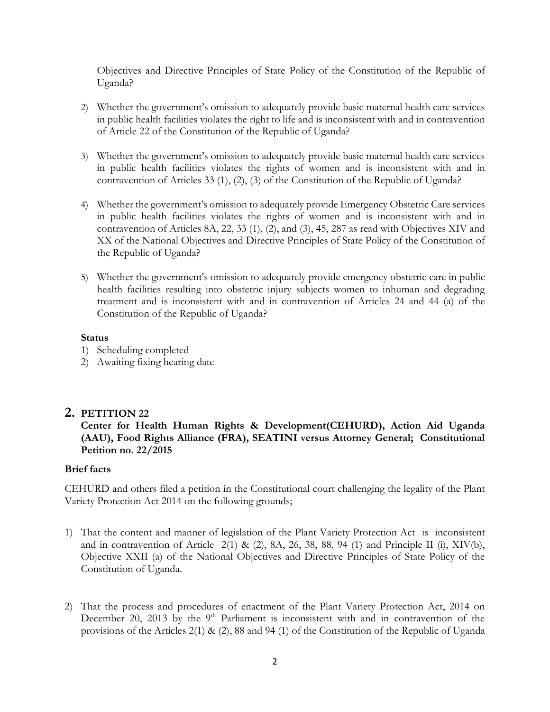Objectives and Directive Principles of State Policy of the Constitution of the Republic of Uganda?

- 2) Whether the government's omission to adequately provide basic maternal health care services in public health facilities violates the right to life and is inconsistent with and in contravention of Article 22 of the Constitution of the Republic of Uganda?
- 3) Whether the government's omission to adequately provide basic maternal health care services in public health facilities violates the rights of women and is inconsistent with and in contravention of Articles 33 (1), (2), (3) of the Constitution of the Republic of Uganda?
- 4) Whether the government's omission to adequately provide Emergency Obstetric Care services in public health facilities violates the rights of women and is inconsistent with and in contravention of Articles 8A, 22, 33 (1), (2), and (3), 45, 287 as read with Objectives XIV and XX of the National Objectives and Directive Principles of State Policy of the Constitution of the Republic of Uganda?
- 5) Whether the government's omission to adequately provide emergency obstetric care in public health facilities resulting into obstetric injury subjects women to inhuman and degrading treatment and is inconsistent with and in contravention of Articles 24 and 44 (a) of the Constitution of the Republic of Uganda?

#### **Status**

- 1) Scheduling completed
- 2) Awaiting fixing hearing date

# **2. PETITION 22**

# **Center for Health Human Rights & Development(CEHURD), Action Aid Uganda (AAU), Food Rights Alliance (FRA), SEATINI versus Attorney General; Constitutional Petition no. 22/2015**

#### **Brief facts**

CEHURD and others filed a petition in the Constitutional court challenging the legality of the Plant Variety Protection Act 2014 on the following grounds;

- 1) That the content and manner of legislation of the Plant Variety Protection Act is inconsistent and in contravention of Article  $2(1)$  &  $(2)$ , 8A, 26, 38, 88, 94 (1) and Principle II (i), XIV(b), Objective XXII (a) of the National Objectives and Directive Principles of State Policy of the Constitution of Uganda.
- 2) That the process and procedures of enactment of the Plant Variety Protection Act, 2014 on December 20, 2013 by the  $9<sup>th</sup>$  Parliament is inconsistent with and in contravention of the provisions of the Articles 2(1) & (2), 88 and 94 (1) of the Constitution of the Republic of Uganda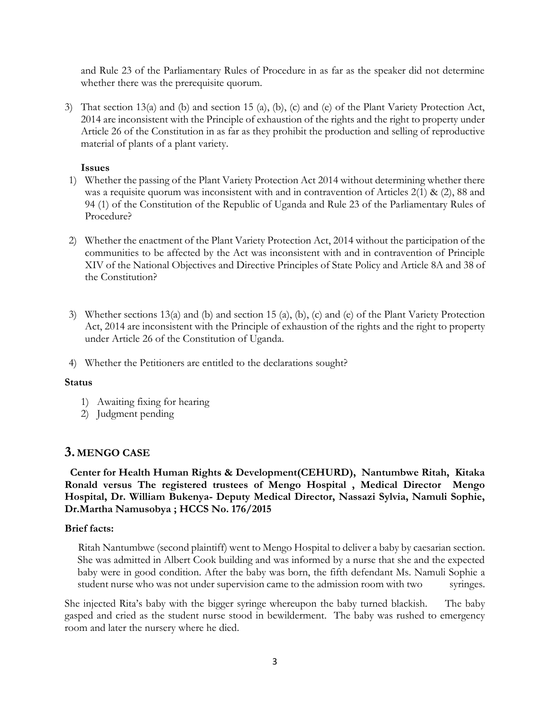and Rule 23 of the Parliamentary Rules of Procedure in as far as the speaker did not determine whether there was the prerequisite quorum.

3) That section 13(a) and (b) and section 15 (a), (b), (c) and (e) of the Plant Variety Protection Act, 2014 are inconsistent with the Principle of exhaustion of the rights and the right to property under Article 26 of the Constitution in as far as they prohibit the production and selling of reproductive material of plants of a plant variety.

#### **Issues**

- 1) Whether the passing of the Plant Variety Protection Act 2014 without determining whether there was a requisite quorum was inconsistent with and in contravention of Articles 2(1) & (2), 88 and 94 (1) of the Constitution of the Republic of Uganda and Rule 23 of the Parliamentary Rules of Procedure?
- 2) Whether the enactment of the Plant Variety Protection Act, 2014 without the participation of the communities to be affected by the Act was inconsistent with and in contravention of Principle XIV of the National Objectives and Directive Principles of State Policy and Article 8A and 38 of the Constitution?
- 3) Whether sections 13(a) and (b) and section 15 (a), (b), (c) and (e) of the Plant Variety Protection Act, 2014 are inconsistent with the Principle of exhaustion of the rights and the right to property under Article 26 of the Constitution of Uganda.
- 4) Whether the Petitioners are entitled to the declarations sought?

#### **Status**

- 1) Awaiting fixing for hearing
- 2) Judgment pending

# **3. MENGO CASE**

 **Center for Health Human Rights & Development(CEHURD), Nantumbwe Ritah, Kitaka Ronald versus The registered trustees of Mengo Hospital , Medical Director Mengo Hospital, Dr. William Bukenya- Deputy Medical Director, Nassazi Sylvia, Namuli Sophie, Dr.Martha Namusobya ; HCCS No. 176/2015**

#### **Brief facts:**

 Ritah Nantumbwe (second plaintiff) went to Mengo Hospital to deliver a baby by caesarian section. She was admitted in Albert Cook building and was informed by a nurse that she and the expected baby were in good condition. After the baby was born, the fifth defendant Ms. Namuli Sophie a student nurse who was not under supervision came to the admission room with two syringes.

She injected Rita's baby with the bigger syringe whereupon the baby turned blackish. The baby gasped and cried as the student nurse stood in bewilderment. The baby was rushed to emergency room and later the nursery where he died.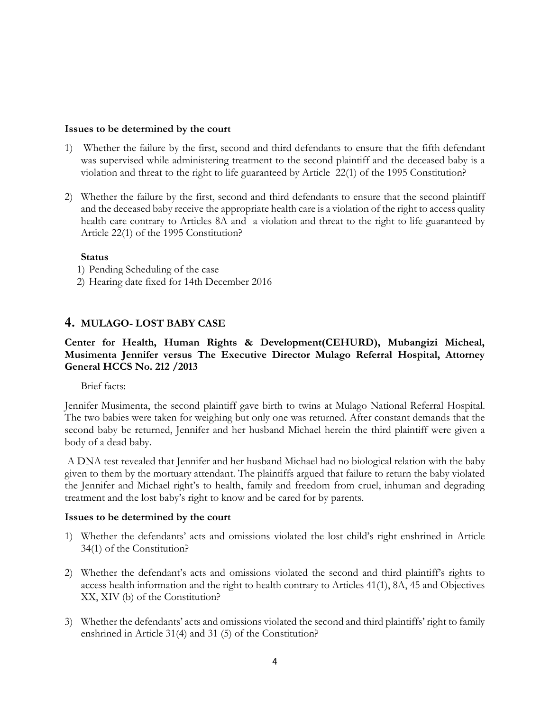#### **Issues to be determined by the court**

- 1) Whether the failure by the first, second and third defendants to ensure that the fifth defendant was supervised while administering treatment to the second plaintiff and the deceased baby is a violation and threat to the right to life guaranteed by Article 22(1) of the 1995 Constitution?
- 2) Whether the failure by the first, second and third defendants to ensure that the second plaintiff and the deceased baby receive the appropriate health care is a violation of the right to access quality health care contrary to Articles 8A and a violation and threat to the right to life guaranteed by Article 22(1) of the 1995 Constitution?

#### **Status**

- 1) Pending Scheduling of the case
- 2) Hearing date fixed for 14th December 2016

# **4. MULAGO- LOST BABY CASE**

# **Center for Health, Human Rights & Development(CEHURD), Mubangizi Micheal, Musimenta Jennifer versus The Executive Director Mulago Referral Hospital, Attorney General HCCS No. 212 /2013**

Brief facts:

Jennifer Musimenta, the second plaintiff gave birth to twins at Mulago National Referral Hospital. The two babies were taken for weighing but only one was returned. After constant demands that the second baby be returned, Jennifer and her husband Michael herein the third plaintiff were given a body of a dead baby.

A DNA test revealed that Jennifer and her husband Michael had no biological relation with the baby given to them by the mortuary attendant. The plaintiffs argued that failure to return the baby violated the Jennifer and Michael right's to health, family and freedom from cruel, inhuman and degrading treatment and the lost baby's right to know and be cared for by parents.

#### **Issues to be determined by the court**

- 1) Whether the defendants' acts and omissions violated the lost child's right enshrined in Article 34(1) of the Constitution?
- 2) Whether the defendant's acts and omissions violated the second and third plaintiff's rights to access health information and the right to health contrary to Articles 41(1), 8A, 45 and Objectives XX, XIV (b) of the Constitution?
- 3) Whether the defendants' acts and omissions violated the second and third plaintiffs' right to family enshrined in Article 31(4) and 31 (5) of the Constitution?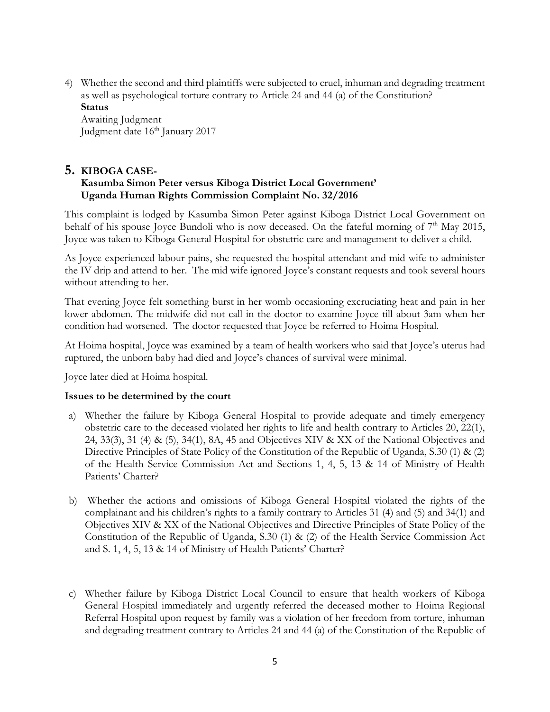4) Whether the second and third plaintiffs were subjected to cruel, inhuman and degrading treatment as well as psychological torture contrary to Article 24 and 44 (a) of the Constitution? **Status**

Awaiting Judgment Judgment date 16<sup>th</sup> January 2017

# **5. KIBOGA CASE-Kasumba Simon Peter versus Kiboga District Local Government' Uganda Human Rights Commission Complaint No. 32/2016**

This complaint is lodged by Kasumba Simon Peter against Kiboga District Local Government on behalf of his spouse Joyce Bundoli who is now deceased. On the fateful morning of  $7<sup>th</sup>$  May 2015, Joyce was taken to Kiboga General Hospital for obstetric care and management to deliver a child.

As Joyce experienced labour pains, she requested the hospital attendant and mid wife to administer the IV drip and attend to her. The mid wife ignored Joyce's constant requests and took several hours without attending to her.

That evening Joyce felt something burst in her womb occasioning excruciating heat and pain in her lower abdomen. The midwife did not call in the doctor to examine Joyce till about 3am when her condition had worsened. The doctor requested that Joyce be referred to Hoima Hospital.

At Hoima hospital, Joyce was examined by a team of health workers who said that Joyce's uterus had ruptured, the unborn baby had died and Joyce's chances of survival were minimal.

Joyce later died at Hoima hospital.

# **Issues to be determined by the court**

- a) Whether the failure by Kiboga General Hospital to provide adequate and timely emergency obstetric care to the deceased violated her rights to life and health contrary to Articles 20, 22(1), 24, 33(3), 31 (4) & (5), 34(1), 8A, 45 and Objectives XIV & XX of the National Objectives and Directive Principles of State Policy of the Constitution of the Republic of Uganda, S.30 (1) & (2) of the Health Service Commission Act and Sections 1, 4, 5, 13 & 14 of Ministry of Health Patients' Charter?
- b) Whether the actions and omissions of Kiboga General Hospital violated the rights of the complainant and his children's rights to a family contrary to Articles 31 (4) and (5) and 34(1) and Objectives XIV & XX of the National Objectives and Directive Principles of State Policy of the Constitution of the Republic of Uganda, S.30 (1) & (2) of the Health Service Commission Act and S. 1, 4, 5, 13 & 14 of Ministry of Health Patients' Charter?
- c) Whether failure by Kiboga District Local Council to ensure that health workers of Kiboga General Hospital immediately and urgently referred the deceased mother to Hoima Regional Referral Hospital upon request by family was a violation of her freedom from torture, inhuman and degrading treatment contrary to Articles 24 and 44 (a) of the Constitution of the Republic of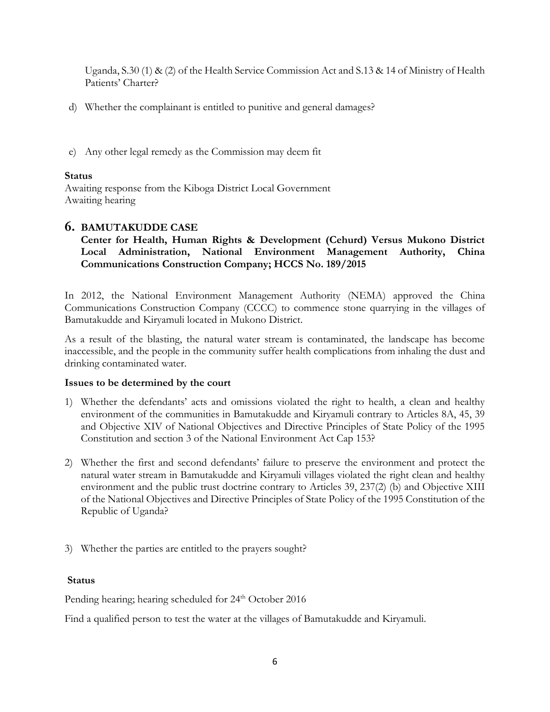Uganda, S.30 (1) & (2) of the Health Service Commission Act and S.13 & 14 of Ministry of Health Patients' Charter?

- d) Whether the complainant is entitled to punitive and general damages?
- e) Any other legal remedy as the Commission may deem fit

# **Status**

Awaiting response from the Kiboga District Local Government Awaiting hearing

# **6. BAMUTAKUDDE CASE**

# **Center for Health, Human Rights & Development (Cehurd) Versus Mukono District Local Administration, National Environment Management Authority, China Communications Construction Company; HCCS No. 189/2015**

In 2012, the National Environment Management Authority (NEMA) approved the China Communications Construction Company (CCCC) to commence stone quarrying in the villages of Bamutakudde and Kiryamuli located in Mukono District.

As a result of the blasting, the natural water stream is contaminated, the landscape has become inaccessible, and the people in the community suffer health complications from inhaling the dust and drinking contaminated water.

# **Issues to be determined by the court**

- 1) Whether the defendants' acts and omissions violated the right to health, a clean and healthy environment of the communities in Bamutakudde and Kiryamuli contrary to Articles 8A, 45, 39 and Objective XIV of National Objectives and Directive Principles of State Policy of the 1995 Constitution and section 3 of the National Environment Act Cap 153?
- 2) Whether the first and second defendants' failure to preserve the environment and protect the natural water stream in Bamutakudde and Kiryamuli villages violated the right clean and healthy environment and the public trust doctrine contrary to Articles 39, 237(2) (b) and Objective XIII of the National Objectives and Directive Principles of State Policy of the 1995 Constitution of the Republic of Uganda?
- 3) Whether the parties are entitled to the prayers sought?

# **Status**

Pending hearing; hearing scheduled for 24<sup>th</sup> October 2016

Find a qualified person to test the water at the villages of Bamutakudde and Kiryamuli.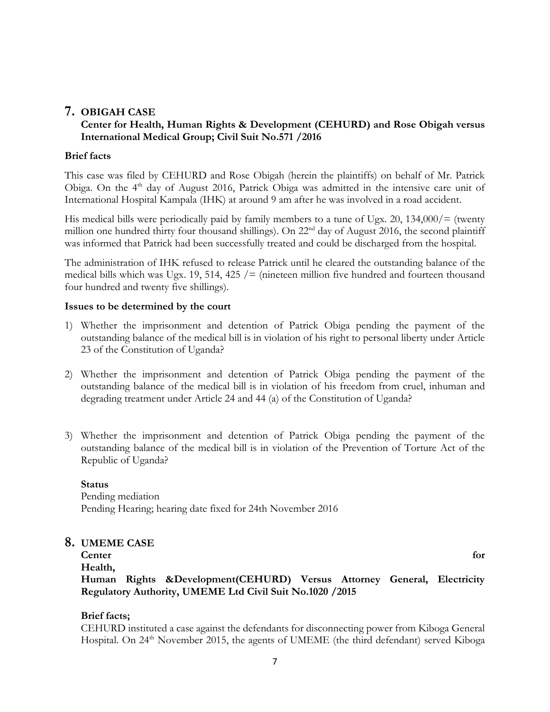# **7. OBIGAH CASE**

# **Center for Health, Human Rights & Development (CEHURD) and Rose Obigah versus International Medical Group; Civil Suit No.571 /2016**

# **Brief facts**

This case was filed by CEHURD and Rose Obigah (herein the plaintiffs) on behalf of Mr. Patrick Obiga. On the 4<sup>th</sup> day of August 2016, Patrick Obiga was admitted in the intensive care unit of International Hospital Kampala (IHK) at around 9 am after he was involved in a road accident.

His medical bills were periodically paid by family members to a tune of Ugx. 20, 134,000/= (twenty million one hundred thirty four thousand shillings). On 22<sup>nd</sup> day of August 2016, the second plaintiff was informed that Patrick had been successfully treated and could be discharged from the hospital.

The administration of IHK refused to release Patrick until he cleared the outstanding balance of the medical bills which was Ugx. 19, 514, 425  $/$  = (nineteen million five hundred and fourteen thousand four hundred and twenty five shillings).

# **Issues to be determined by the court**

- 1) Whether the imprisonment and detention of Patrick Obiga pending the payment of the outstanding balance of the medical bill is in violation of his right to personal liberty under Article 23 of the Constitution of Uganda?
- 2) Whether the imprisonment and detention of Patrick Obiga pending the payment of the outstanding balance of the medical bill is in violation of his freedom from cruel, inhuman and degrading treatment under Article 24 and 44 (a) of the Constitution of Uganda?
- 3) Whether the imprisonment and detention of Patrick Obiga pending the payment of the outstanding balance of the medical bill is in violation of the Prevention of Torture Act of the Republic of Uganda?

**Status**  Pending mediation Pending Hearing; hearing date fixed for 24th November 2016

# **8. UMEME CASE**

**Center** for **Health, Human Rights &Development(CEHURD) Versus Attorney General, Electricity Regulatory Authority, UMEME Ltd Civil Suit No.1020 /2015**

# **Brief facts;**

CEHURD instituted a case against the defendants for disconnecting power from Kiboga General Hospital. On 24<sup>th</sup> November 2015, the agents of UMEME (the third defendant) served Kiboga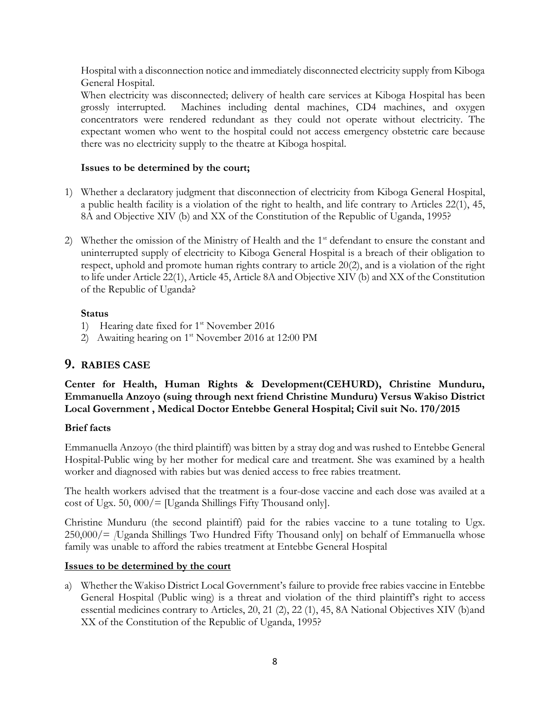Hospital with a disconnection notice and immediately disconnected electricity supply from Kiboga General Hospital.

When electricity was disconnected; delivery of health care services at Kiboga Hospital has been grossly interrupted. Machines including dental machines, CD4 machines, and oxygen concentrators were rendered redundant as they could not operate without electricity. The expectant women who went to the hospital could not access emergency obstetric care because there was no electricity supply to the theatre at Kiboga hospital.

# **Issues to be determined by the court;**

- 1) Whether a declaratory judgment that disconnection of electricity from Kiboga General Hospital, a public health facility is a violation of the right to health, and life contrary to Articles 22(1), 45, 8A and Objective XIV (b) and XX of the Constitution of the Republic of Uganda, 1995?
- 2) Whether the omission of the Ministry of Health and the  $1<sup>st</sup>$  defendant to ensure the constant and uninterrupted supply of electricity to Kiboga General Hospital is a breach of their obligation to respect, uphold and promote human rights contrary to article 20(2), and is a violation of the right to life under Article 22(1), Article 45, Article 8A and Objective XIV (b) and XX of the Constitution of the Republic of Uganda?

# **Status**

- 1) Hearing date fixed for  $1<sup>st</sup>$  November 2016
- 2) Awaiting hearing on  $1<sup>st</sup>$  November 2016 at 12:00 PM

# **9. RABIES CASE**

**Center for Health, Human Rights & Development(CEHURD), Christine Munduru, Emmanuella Anzoyo (suing through next friend Christine Munduru) Versus Wakiso District Local Government , Medical Doctor Entebbe General Hospital; Civil suit No. 170/2015**

# **Brief facts**

Emmanuella Anzoyo (the third plaintiff) was bitten by a stray dog and was rushed to Entebbe General Hospital-Public wing by her mother for medical care and treatment. She was examined by a health worker and diagnosed with rabies but was denied access to free rabies treatment.

The health workers advised that the treatment is a four-dose vaccine and each dose was availed at a cost of Ugx. 50,  $000/$  [Uganda Shillings Fifty Thousand only].

Christine Munduru (the second plaintiff) paid for the rabies vaccine to a tune totaling to Ugx. 250,000/= *[*Uganda Shillings Two Hundred Fifty Thousand only] on behalf of Emmanuella whose family was unable to afford the rabies treatment at Entebbe General Hospital

# **Issues to be determined by the court**

a) Whether the Wakiso District Local Government's failure to provide free rabies vaccine in Entebbe General Hospital (Public wing) is a threat and violation of the third plaintiff's right to access essential medicines contrary to Articles, 20, 21 (2), 22 (1), 45, 8A National Objectives XIV (b)and XX of the Constitution of the Republic of Uganda, 1995?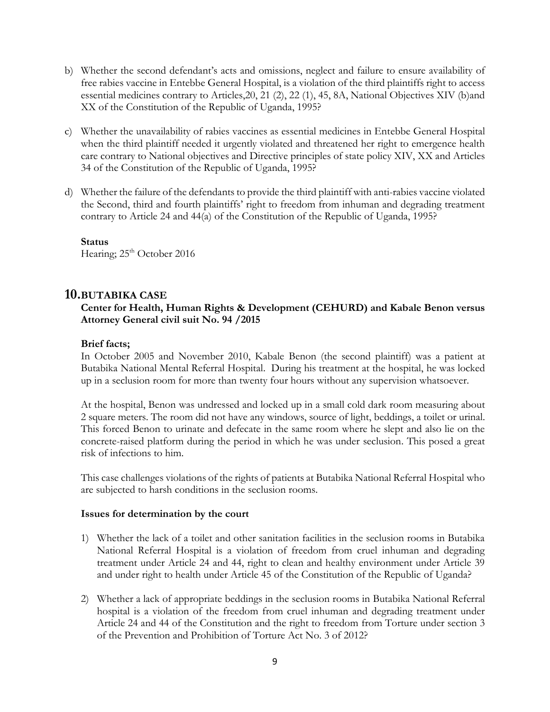- b) Whether the second defendant's acts and omissions, neglect and failure to ensure availability of free rabies vaccine in Entebbe General Hospital, is a violation of the third plaintiffs right to access essential medicines contrary to Articles,20, 21 (2), 22 (1), 45, 8A, National Objectives XIV (b)and XX of the Constitution of the Republic of Uganda, 1995?
- c) Whether the unavailability of rabies vaccines as essential medicines in Entebbe General Hospital when the third plaintiff needed it urgently violated and threatened her right to emergence health care contrary to National objectives and Directive principles of state policy XIV, XX and Articles 34 of the Constitution of the Republic of Uganda, 1995?
- d) Whether the failure of the defendants to provide the third plaintiff with anti-rabies vaccine violated the Second, third and fourth plaintiffs' right to freedom from inhuman and degrading treatment contrary to Article 24 and 44(a) of the Constitution of the Republic of Uganda, 1995?

**Status**  Hearing; 25<sup>th</sup> October 2016

# **10.BUTABIKA CASE**

# **Center for Health, Human Rights & Development (CEHURD) and Kabale Benon versus Attorney General civil suit No. 94 /2015**

# **Brief facts;**

In October 2005 and November 2010, Kabale Benon (the second plaintiff) was a patient at Butabika National Mental Referral Hospital. During his treatment at the hospital, he was locked up in a seclusion room for more than twenty four hours without any supervision whatsoever.

At the hospital, Benon was undressed and locked up in a small cold dark room measuring about 2 square meters. The room did not have any windows, source of light, beddings, a toilet or urinal. This forced Benon to urinate and defecate in the same room where he slept and also lie on the concrete-raised platform during the period in which he was under seclusion. This posed a great risk of infections to him.

This case challenges violations of the rights of patients at Butabika National Referral Hospital who are subjected to harsh conditions in the seclusion rooms.

#### **Issues for determination by the court**

- 1) Whether the lack of a toilet and other sanitation facilities in the seclusion rooms in Butabika National Referral Hospital is a violation of freedom from cruel inhuman and degrading treatment under Article 24 and 44, right to clean and healthy environment under Article 39 and under right to health under Article 45 of the Constitution of the Republic of Uganda?
- 2) Whether a lack of appropriate beddings in the seclusion rooms in Butabika National Referral hospital is a violation of the freedom from cruel inhuman and degrading treatment under Article 24 and 44 of the Constitution and the right to freedom from Torture under section 3 of the Prevention and Prohibition of Torture Act No. 3 of 2012?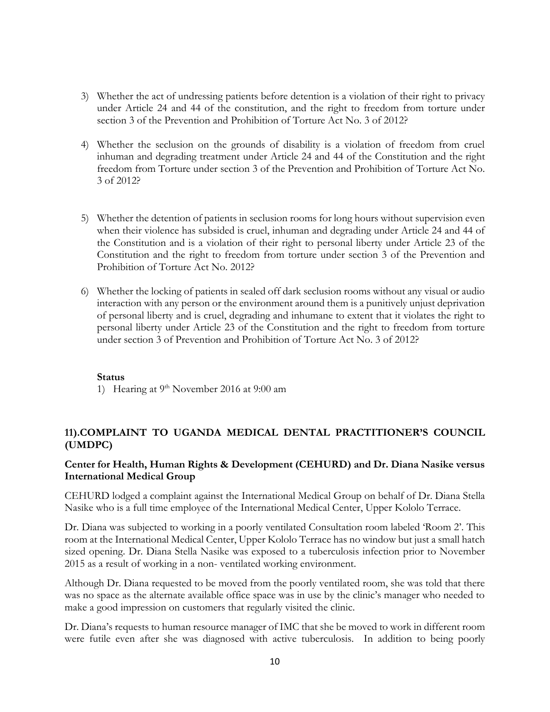- 3) Whether the act of undressing patients before detention is a violation of their right to privacy under Article 24 and 44 of the constitution, and the right to freedom from torture under section 3 of the Prevention and Prohibition of Torture Act No. 3 of 2012?
- 4) Whether the seclusion on the grounds of disability is a violation of freedom from cruel inhuman and degrading treatment under Article 24 and 44 of the Constitution and the right freedom from Torture under section 3 of the Prevention and Prohibition of Torture Act No. 3 of 2012?
- 5) Whether the detention of patients in seclusion rooms for long hours without supervision even when their violence has subsided is cruel, inhuman and degrading under Article 24 and 44 of the Constitution and is a violation of their right to personal liberty under Article 23 of the Constitution and the right to freedom from torture under section 3 of the Prevention and Prohibition of Torture Act No. 2012?
- 6) Whether the locking of patients in sealed off dark seclusion rooms without any visual or audio interaction with any person or the environment around them is a punitively unjust deprivation of personal liberty and is cruel, degrading and inhumane to extent that it violates the right to personal liberty under Article 23 of the Constitution and the right to freedom from torture under section 3 of Prevention and Prohibition of Torture Act No. 3 of 2012?

#### **Status**

1) Hearing at  $9<sup>th</sup>$  November 2016 at 9:00 am

# **11).COMPLAINT TO UGANDA MEDICAL DENTAL PRACTITIONER'S COUNCIL (UMDPC)**

#### **Center for Health, Human Rights & Development (CEHURD) and Dr. Diana Nasike versus International Medical Group**

CEHURD lodged a complaint against the International Medical Group on behalf of Dr. Diana Stella Nasike who is a full time employee of the International Medical Center, Upper Kololo Terrace.

Dr. Diana was subjected to working in a poorly ventilated Consultation room labeled 'Room 2'. This room at the International Medical Center, Upper Kololo Terrace has no window but just a small hatch sized opening. Dr. Diana Stella Nasike was exposed to a tuberculosis infection prior to November 2015 as a result of working in a non- ventilated working environment.

Although Dr. Diana requested to be moved from the poorly ventilated room, she was told that there was no space as the alternate available office space was in use by the clinic's manager who needed to make a good impression on customers that regularly visited the clinic.

Dr. Diana's requests to human resource manager of IMC that she be moved to work in different room were futile even after she was diagnosed with active tuberculosis. In addition to being poorly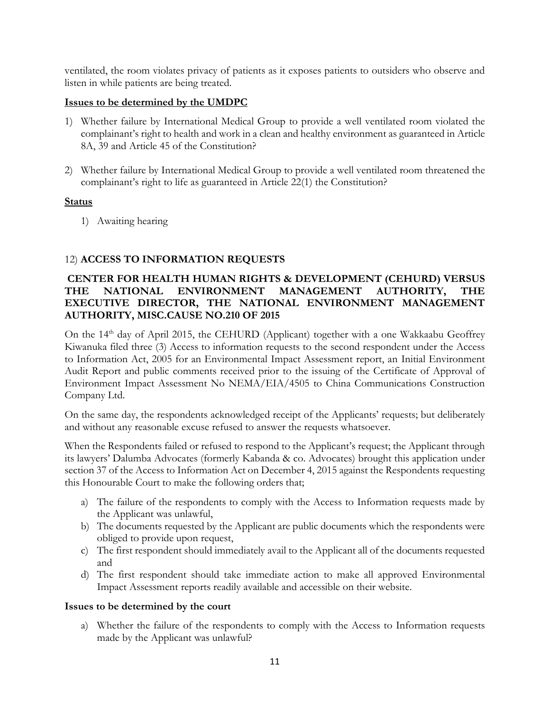ventilated, the room violates privacy of patients as it exposes patients to outsiders who observe and listen in while patients are being treated.

# **Issues to be determined by the UMDPC**

- 1) Whether failure by International Medical Group to provide a well ventilated room violated the complainant's right to health and work in a clean and healthy environment as guaranteed in Article 8A, 39 and Article 45 of the Constitution?
- 2) Whether failure by International Medical Group to provide a well ventilated room threatened the complainant's right to life as guaranteed in Article 22(1) the Constitution?

# **Status**

1) Awaiting hearing

# 12) **ACCESS TO INFORMATION REQUESTS**

# **CENTER FOR HEALTH HUMAN RIGHTS & DEVELOPMENT (CEHURD) VERSUS THE NATIONAL ENVIRONMENT MANAGEMENT AUTHORITY, THE EXECUTIVE DIRECTOR, THE NATIONAL ENVIRONMENT MANAGEMENT AUTHORITY, MISC.CAUSE NO.210 OF 2015**

On the 14<sup>th</sup> day of April 2015, the CEHURD (Applicant) together with a one Wakkaabu Geoffrey Kiwanuka filed three (3) Access to information requests to the second respondent under the Access to Information Act, 2005 for an Environmental Impact Assessment report, an Initial Environment Audit Report and public comments received prior to the issuing of the Certificate of Approval of Environment Impact Assessment No NEMA/EIA/4505 to China Communications Construction Company Ltd.

On the same day, the respondents acknowledged receipt of the Applicants' requests; but deliberately and without any reasonable excuse refused to answer the requests whatsoever.

When the Respondents failed or refused to respond to the Applicant's request; the Applicant through its lawyers' Dalumba Advocates (formerly Kabanda & co. Advocates) brought this application under section 37 of the Access to Information Act on December 4, 2015 against the Respondents requesting this Honourable Court to make the following orders that;

- a) The failure of the respondents to comply with the Access to Information requests made by the Applicant was unlawful,
- b) The documents requested by the Applicant are public documents which the respondents were obliged to provide upon request,
- c) The first respondent should immediately avail to the Applicant all of the documents requested and
- d) The first respondent should take immediate action to make all approved Environmental Impact Assessment reports readily available and accessible on their website.

# **Issues to be determined by the court**

a) Whether the failure of the respondents to comply with the Access to Information requests made by the Applicant was unlawful?